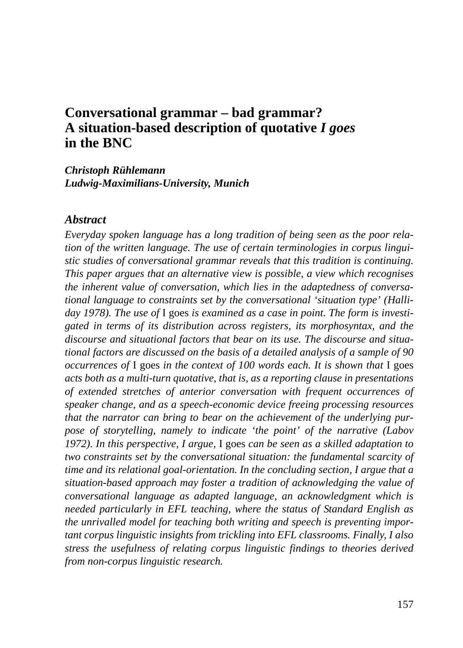# **Conversational grammar – bad grammar? A situation-based description of quotative** *I goes*  **in the BNC**

*Christoph Rühlemann Ludwig-Maximilians-University, Munich*

#### *Abstract*

*Everyday spoken language has a long tradition of being seen as the poor relation of the written language. The use of certain terminologies in corpus linguistic studies of conversational grammar reveals that this tradition is continuing. This paper argues that an alternative view is possible, a view which recognises the inherent value of conversation, which lies in the adaptedness of conversational language to constraints set by the conversational 'situation type' (Halliday 1978). The use of* I goes *is examined as a case in point. The form is investigated in terms of its distribution across registers, its morphosyntax, and the discourse and situational factors that bear on its use. The discourse and situational factors are discussed on the basis of a detailed analysis of a sample of 90 occurrences of* I goes *in the context of 100 words each. It is shown that* I goes *acts both as a multi-turn quotative, that is, as a reporting clause in presentations of extended stretches of anterior conversation with frequent occurrences of speaker change, and as a speech-economic device freeing processing resources that the narrator can bring to bear on the achievement of the underlying purpose of storytelling, namely to indicate 'the point' of the narrative (Labov 1972). In this perspective, I argue,* I goes *can be seen as a skilled adaptation to two constraints set by the conversational situation: the fundamental scarcity of time and its relational goal-orientation. In the concluding section, I argue that a situation-based approach may foster a tradition of acknowledging the value of conversational language as adapted language, an acknowledgment which is needed particularly in EFL teaching, where the status of Standard English as the unrivalled model for teaching both writing and speech is preventing important corpus linguistic insights from trickling into EFL classrooms. Finally, I also stress the usefulness of relating corpus linguistic findings to theories derived from non-corpus linguistic research.*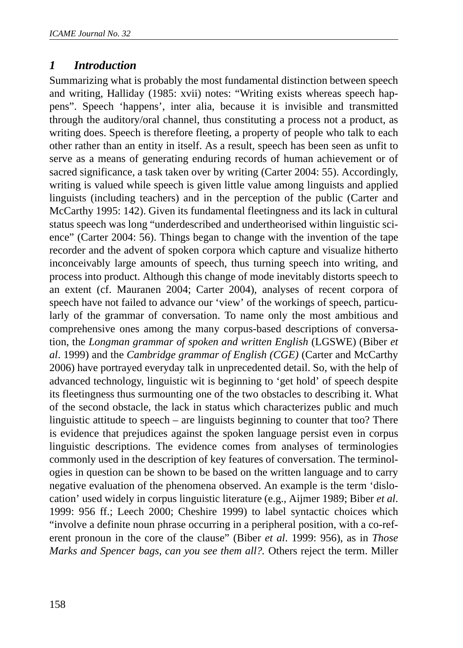## *1 Introduction*

Summarizing what is probably the most fundamental distinction between speech and writing, Halliday (1985: xvii) notes: "Writing exists whereas speech happens". Speech 'happens', inter alia, because it is invisible and transmitted through the auditory/oral channel, thus constituting a process not a product, as writing does. Speech is therefore fleeting, a property of people who talk to each other rather than an entity in itself. As a result, speech has been seen as unfit to serve as a means of generating enduring records of human achievement or of sacred significance, a task taken over by writing (Carter 2004: 55). Accordingly, writing is valued while speech is given little value among linguists and applied linguists (including teachers) and in the perception of the public (Carter and McCarthy 1995: 142). Given its fundamental fleetingness and its lack in cultural status speech was long "underdescribed and undertheorised within linguistic science" (Carter 2004: 56). Things began to change with the invention of the tape recorder and the advent of spoken corpora which capture and visualize hitherto inconceivably large amounts of speech, thus turning speech into writing, and process into product. Although this change of mode inevitably distorts speech to an extent (cf. Mauranen 2004; Carter 2004), analyses of recent corpora of speech have not failed to advance our 'view' of the workings of speech, particularly of the grammar of conversation. To name only the most ambitious and comprehensive ones among the many corpus-based descriptions of conversation, the *Longman grammar of spoken and written English* (LGSWE) (Biber *et al*. 1999) and the *Cambridge grammar of English (CGE)* (Carter and McCarthy 2006) have portrayed everyday talk in unprecedented detail. So, with the help of advanced technology, linguistic wit is beginning to 'get hold' of speech despite its fleetingness thus surmounting one of the two obstacles to describing it. What of the second obstacle, the lack in status which characterizes public and much linguistic attitude to speech – are linguists beginning to counter that too? There is evidence that prejudices against the spoken language persist even in corpus linguistic descriptions. The evidence comes from analyses of terminologies commonly used in the description of key features of conversation. The terminologies in question can be shown to be based on the written language and to carry negative evaluation of the phenomena observed. An example is the term 'dislocation' used widely in corpus linguistic literature (e.g., Aijmer 1989; Biber *et al*. 1999: 956 ff.; Leech 2000; Cheshire 1999) to label syntactic choices which "involve a definite noun phrase occurring in a peripheral position, with a co-referent pronoun in the core of the clause" (Biber *et al*. 1999: 956), as in *Those Marks and Spencer bags, can you see them all?.* Others reject the term. Miller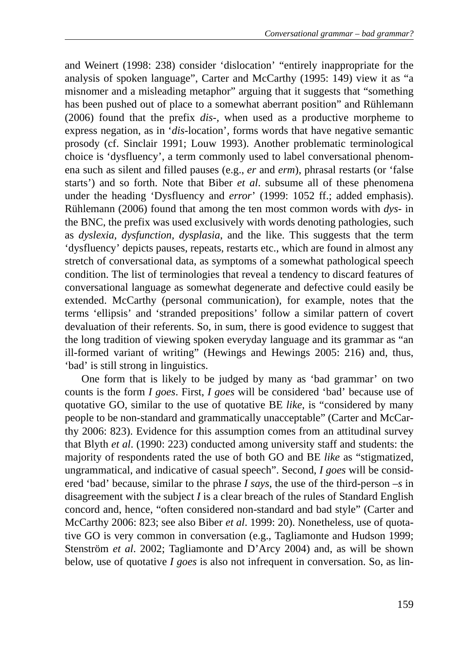and Weinert (1998: 238) consider 'dislocation' "entirely inappropriate for the analysis of spoken language", Carter and McCarthy (1995: 149) view it as "a misnomer and a misleading metaphor" arguing that it suggests that "something has been pushed out of place to a somewhat aberrant position" and Rühlemann (2006) found that the prefix *dis-,* when used as a productive morpheme to express negation, as in '*dis-*location'*,* forms words that have negative semantic prosody (cf. Sinclair 1991; Louw 1993). Another problematic terminological choice is 'dysfluency', a term commonly used to label conversational phenomena such as silent and filled pauses (e.g., *er* and *erm*), phrasal restarts (or 'false starts') and so forth. Note that Biber *et al*. subsume all of these phenomena under the heading 'Dysfluency and *error*' (1999: 1052 ff.; added emphasis). Rühlemann (2006) found that among the ten most common words with *dys-* in the BNC, the prefix was used exclusively with words denoting pathologies*,* such as *dyslexia, dysfunction, dysplasia*, and the like. This suggests that the term 'dysfluency' depicts pauses, repeats, restarts etc., which are found in almost any stretch of conversational data, as symptoms of a somewhat pathological speech condition. The list of terminologies that reveal a tendency to discard features of conversational language as somewhat degenerate and defective could easily be extended. McCarthy (personal communication), for example, notes that the terms 'ellipsis' and 'stranded prepositions' follow a similar pattern of covert devaluation of their referents. So, in sum, there is good evidence to suggest that the long tradition of viewing spoken everyday language and its grammar as "an ill-formed variant of writing" (Hewings and Hewings 2005: 216) and, thus, 'bad' is still strong in linguistics.

One form that is likely to be judged by many as 'bad grammar' on two counts is the form *I goes*. First, *I goes* will be considered 'bad' because use of quotative GO, similar to the use of quotative BE *like*, is "considered by many people to be non-standard and grammatically unacceptable" (Carter and McCarthy 2006: 823). Evidence for this assumption comes from an attitudinal survey that Blyth *et al*. (1990: 223) conducted among university staff and students: the majority of respondents rated the use of both GO and BE *like* as "stigmatized, ungrammatical, and indicative of casual speech". Second, *I goes* will be considered 'bad' because, similar to the phrase *I says*, the use of the third-person –*s* in disagreement with the subject *I* is a clear breach of the rules of Standard English concord and, hence, "often considered non-standard and bad style" (Carter and McCarthy 2006: 823; see also Biber *et al*. 1999: 20). Nonetheless, use of quotative GO is very common in conversation (e.g., Tagliamonte and Hudson 1999; Stenström *et al*. 2002; Tagliamonte and D'Arcy 2004) and, as will be shown below, use of quotative *I goes* is also not infrequent in conversation. So, as lin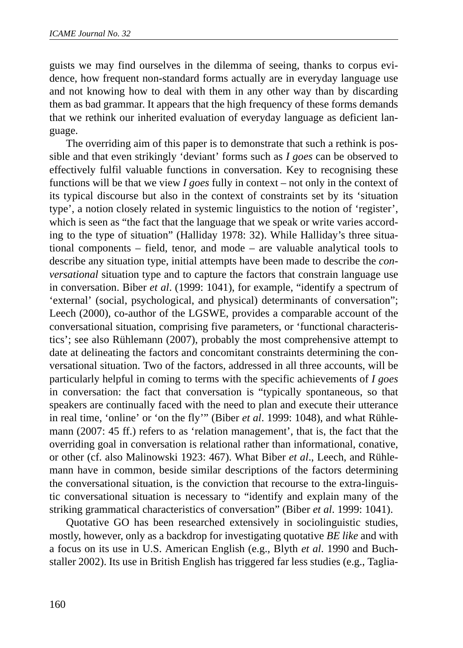guists we may find ourselves in the dilemma of seeing, thanks to corpus evidence, how frequent non-standard forms actually are in everyday language use and not knowing how to deal with them in any other way than by discarding them as bad grammar. It appears that the high frequency of these forms demands that we rethink our inherited evaluation of everyday language as deficient language.

The overriding aim of this paper is to demonstrate that such a rethink is possible and that even strikingly 'deviant' forms such as *I goes* can be observed to effectively fulfil valuable functions in conversation. Key to recognising these functions will be that we view *I goes* fully in context – not only in the context of its typical discourse but also in the context of constraints set by its 'situation type', a notion closely related in systemic linguistics to the notion of 'register', which is seen as "the fact that the language that we speak or write varies according to the type of situation" (Halliday 1978: 32). While Halliday's three situational components – field, tenor, and mode – are valuable analytical tools to describe any situation type, initial attempts have been made to describe the *conversational* situation type and to capture the factors that constrain language use in conversation. Biber *et al*. (1999: 1041), for example, "identify a spectrum of 'external' (social, psychological, and physical) determinants of conversation"; Leech (2000), co-author of the LGSWE, provides a comparable account of the conversational situation, comprising five parameters, or 'functional characteristics'; see also Rühlemann (2007), probably the most comprehensive attempt to date at delineating the factors and concomitant constraints determining the conversational situation. Two of the factors, addressed in all three accounts, will be particularly helpful in coming to terms with the specific achievements of *I goes* in conversation: the fact that conversation is "typically spontaneous, so that speakers are continually faced with the need to plan and execute their utterance in real time, 'online' or 'on the fly'" (Biber *et al*. 1999: 1048), and what Rühlemann (2007: 45 ff.) refers to as 'relation management', that is, the fact that the overriding goal in conversation is relational rather than informational, conative, or other (cf. also Malinowski 1923: 467). What Biber *et al*., Leech, and Rühlemann have in common, beside similar descriptions of the factors determining the conversational situation, is the conviction that recourse to the extra-linguistic conversational situation is necessary to "identify and explain many of the striking grammatical characteristics of conversation" (Biber *et al*. 1999: 1041).

Quotative GO has been researched extensively in sociolinguistic studies, mostly, however, only as a backdrop for investigating quotative *BE like* and with a focus on its use in U.S. American English (e.g., Blyth *et al*. 1990 and Buchstaller 2002). Its use in British English has triggered far less studies (e.g., Taglia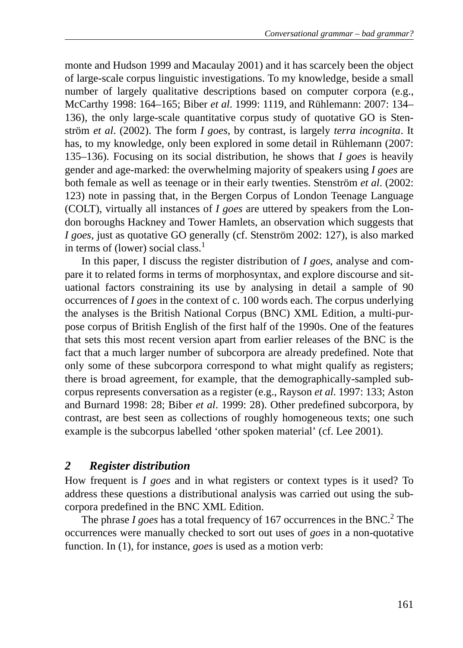monte and Hudson 1999 and Macaulay 2001) and it has scarcely been the object of large-scale corpus linguistic investigations. To my knowledge, beside a small number of largely qualitative descriptions based on computer corpora (e.g., McCarthy 1998: 164–165; Biber *et al*. 1999: 1119, and Rühlemann: 2007: 134– 136), the only large-scale quantitative corpus study of quotative GO is Stenström *et al*. (2002). The form *I goes*, by contrast, is largely *terra incognita*. It has, to my knowledge, only been explored in some detail in Rühlemann (2007: 135–136). Focusing on its social distribution, he shows that *I goes* is heavily gender and age-marked: the overwhelming majority of speakers using *I goes* are both female as well as teenage or in their early twenties. Stenström *et al*. (2002: 123) note in passing that, in the Bergen Corpus of London Teenage Language (COLT), virtually all instances of *I goes* are uttered by speakers from the London boroughs Hackney and Tower Hamlets, an observation which suggests that *I goes,* just as quotative GO generally (cf. Stenström 2002: 127), is also marked in terms of (lower) social class.<sup>1</sup>

In this paper, I discuss the register distribution of *I goes*, analyse and compare it to related forms in terms of morphosyntax, and explore discourse and situational factors constraining its use by analysing in detail a sample of 90 occurrences of *I goes* in the context of c. 100 words each. The corpus underlying the analyses is the British National Corpus (BNC) XML Edition, a multi-purpose corpus of British English of the first half of the 1990s. One of the features that sets this most recent version apart from earlier releases of the BNC is the fact that a much larger number of subcorpora are already predefined. Note that only some of these subcorpora correspond to what might qualify as registers; there is broad agreement, for example, that the demographically-sampled subcorpus represents conversation as a register (e.g., Rayson *et al*. 1997: 133; Aston and Burnard 1998: 28; Biber *et al*. 1999: 28). Other predefined subcorpora, by contrast, are best seen as collections of roughly homogeneous texts; one such example is the subcorpus labelled 'other spoken material' (cf. Lee 2001).

## *2 Register distribution*

How frequent is *I goes* and in what registers or context types is it used? To address these questions a distributional analysis was carried out using the subcorpora predefined in the BNC XML Edition.

The phrase  $I$  goes has a total frequency of 167 occurrences in the BNC.<sup>2</sup> The occurrences were manually checked to sort out uses of *goes* in a non-quotative function. In (1), for instance, *goes* is used as a motion verb: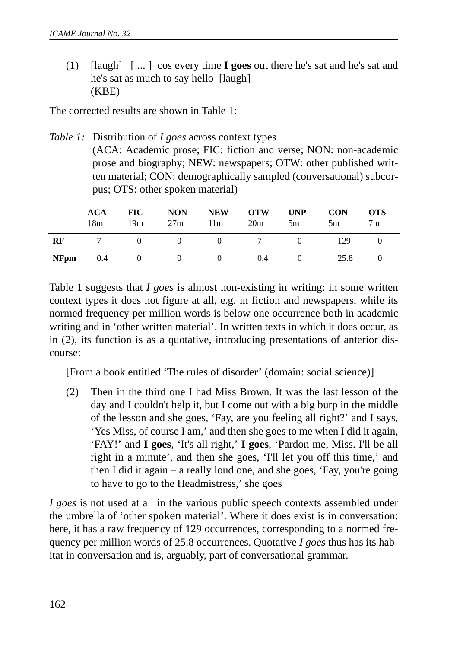(1) [laugh] [ ... ] cos every time **I goes** out there he's sat and he's sat and he's sat as much to say hello [laugh] (KBE)

The corrected results are shown in Table 1:

*Table 1:* Distribution of *I goes* across context types

(ACA: Academic prose; FIC: fiction and verse; NON: non-academic prose and biography; NEW: newspapers; OTW: other published written material; CON: demographically sampled (conversational) subcorpus; OTS: other spoken material)

|      | <b>ACA</b><br>18m | <b>FIC</b><br>19m                                  | <b>NON</b><br>27m | <b>NEW</b><br>11m     | <b>OTW</b><br>20m | <b>UNP</b><br>5m | <b>CON</b><br>5m | <b>OTS</b><br>7 <sub>m</sub> |
|------|-------------------|----------------------------------------------------|-------------------|-----------------------|-------------------|------------------|------------------|------------------------------|
| RF   |                   | $\sim$ 0                                           |                   | $0 \qquad 0 \qquad 7$ |                   | $\sim$ 0         | 129              |                              |
| NFpm | 0.4               | $\begin{array}{ccc} & & 0 & \quad & 0 \end{array}$ |                   | $\sim$ 0              | 0.4               | $\overline{0}$   | 25.8             |                              |

Table 1 suggests that *I goes* is almost non-existing in writing: in some written context types it does not figure at all, e.g. in fiction and newspapers, while its normed frequency per million words is below one occurrence both in academic writing and in 'other written material'. In written texts in which it does occur, as in (2), its function is as a quotative, introducing presentations of anterior discourse:

[From a book entitled 'The rules of disorder' (domain: social science)]

(2) Then in the third one I had Miss Brown. It was the last lesson of the day and I couldn't help it, but I come out with a big burp in the middle of the lesson and she goes, 'Fay, are you feeling all right?' and I says, 'Yes Miss, of course I am,' and then she goes to me when I did it again, 'FAY!' and **I goes**, 'It's all right,' **I goes**, 'Pardon me, Miss. I'll be all right in a minute', and then she goes, 'I'll let you off this time,' and then I did it again – a really loud one, and she goes, 'Fay, you're going to have to go to the Headmistress,' she goes

*I goes* is not used at all in the various public speech contexts assembled under the umbrella of 'other spoken material'. Where it does exist is in conversation: here, it has a raw frequency of 129 occurrences, corresponding to a normed frequency per million words of 25.8 occurrences. Quotative *I goes* thus has its habitat in conversation and is, arguably, part of conversational grammar.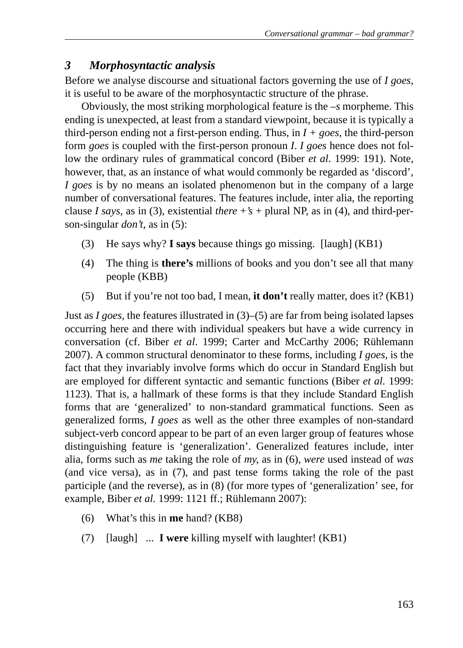## *3 Morphosyntactic analysis*

Before we analyse discourse and situational factors governing the use of *I goes*, it is useful to be aware of the morphosyntactic structure of the phrase.

Obviously, the most striking morphological feature is the *–s* morpheme. This ending is unexpected, at least from a standard viewpoint, because it is typically a third-person ending not a first-person ending. Thus, in  $I + goes$ , the third-person form *goes* is coupled with the first-person pronoun *I*. *I goes* hence does not follow the ordinary rules of grammatical concord (Biber *et al*. 1999: 191). Note, however, that, as an instance of what would commonly be regarded as 'discord', *I goes* is by no means an isolated phenomenon but in the company of a large number of conversational features. The features include, inter alia, the reporting clause *I says*, as in (3), existential *there*  $+$ 's  $+$  plural NP, as in (4), and third-person-singular *don't*, as in (5):

- (3) He says why? **I says** because things go missing. [laugh] (KB1)
- (4) The thing is **there's** millions of books and you don't see all that many people (KBB)
- (5) But if you're not too bad, I mean, **it don't** really matter, does it? (KB1)

Just as *I goes*, the features illustrated in (3)–(5) are far from being isolated lapses occurring here and there with individual speakers but have a wide currency in conversation (cf. Biber *et al*. 1999; Carter and McCarthy 2006; Rühlemann 2007). A common structural denominator to these forms, including *I goes*, is the fact that they invariably involve forms which do occur in Standard English but are employed for different syntactic and semantic functions (Biber *et al.* 1999: 1123). That is, a hallmark of these forms is that they include Standard English forms that are 'generalized' to non-standard grammatical functions. Seen as generalized forms, *I goes* as well as the other three examples of non-standard subject-verb concord appear to be part of an even larger group of features whose distinguishing feature is 'generalization'. Generalized features include, inter alia, forms such as *me* taking the role of *my*, as in (6), *were* used instead of *was* (and vice versa), as in (7), and past tense forms taking the role of the past participle (and the reverse), as in (8) (for more types of 'generalization' see, for example, Biber *et al.* 1999: 1121 ff.; Rühlemann 2007):

- (6) What's this in **me** hand? (KB8)
- (7) [laugh] ... **I were** killing myself with laughter! (KB1)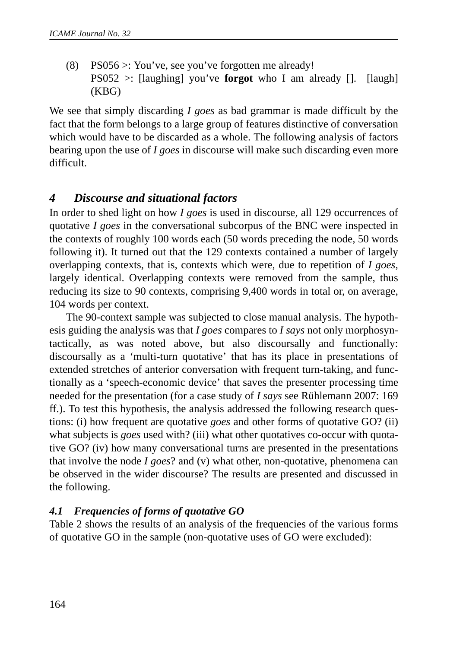(8) PS056 >: You've, see you've forgotten me already! PS052 >: [laughing] you've **forgot** who I am already []. [laugh] (KBG)

We see that simply discarding *I goes* as bad grammar is made difficult by the fact that the form belongs to a large group of features distinctive of conversation which would have to be discarded as a whole. The following analysis of factors bearing upon the use of *I goes* in discourse will make such discarding even more difficult.

## *4 Discourse and situational factors*

In order to shed light on how *I goes* is used in discourse, all 129 occurrences of quotative *I goes* in the conversational subcorpus of the BNC were inspected in the contexts of roughly 100 words each (50 words preceding the node, 50 words following it). It turned out that the 129 contexts contained a number of largely overlapping contexts, that is, contexts which were, due to repetition of *I goes*, largely identical. Overlapping contexts were removed from the sample, thus reducing its size to 90 contexts, comprising 9,400 words in total or, on average, 104 words per context.

The 90-context sample was subjected to close manual analysis. The hypothesis guiding the analysis was that *I goes* compares to *I says* not only morphosyntactically, as was noted above, but also discoursally and functionally: discoursally as a 'multi-turn quotative' that has its place in presentations of extended stretches of anterior conversation with frequent turn-taking, and functionally as a 'speech-economic device' that saves the presenter processing time needed for the presentation (for a case study of *I says* see Rühlemann 2007: 169 ff.). To test this hypothesis, the analysis addressed the following research questions: (i) how frequent are quotative *goes* and other forms of quotative GO? (ii) what subjects is *goes* used with? (iii) what other quotatives co-occur with quotative GO? (iv) how many conversational turns are presented in the presentations that involve the node *I goes*? and (v) what other, non-quotative, phenomena can be observed in the wider discourse? The results are presented and discussed in the following.

### *4.1 Frequencies of forms of quotative GO*

Table 2 shows the results of an analysis of the frequencies of the various forms of quotative GO in the sample (non-quotative uses of GO were excluded):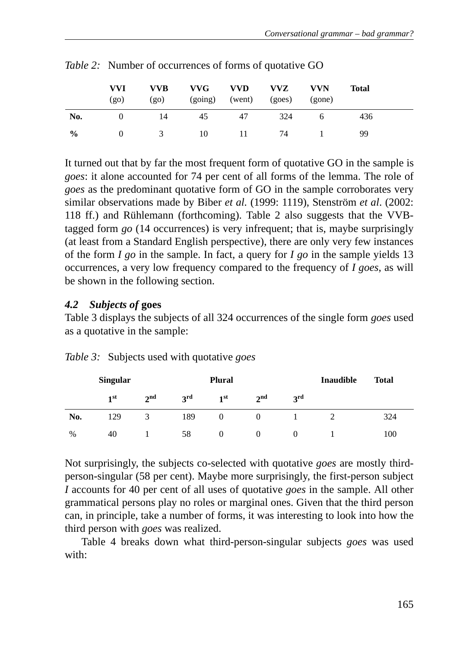|               | <b>VVI</b><br>$(g_0)$ | <b>VVB</b><br>(g <sub>0</sub> ) | VVG<br>(going) | <b>VVD</b><br>(went) | <b>VVZ</b><br>(goes) | <b>VVN</b><br>(gone) | Total |  |
|---------------|-----------------------|---------------------------------|----------------|----------------------|----------------------|----------------------|-------|--|
| No.           |                       | 14                              | 45             | 47                   | 324                  | O                    | 436   |  |
| $\frac{0}{0}$ |                       |                                 | 10             | $\mathbf{L}$         | 74                   |                      | 99    |  |

*Table 2:* Number of occurrences of forms of quotative GO

It turned out that by far the most frequent form of quotative GO in the sample is *goes*: it alone accounted for 74 per cent of all forms of the lemma. The role of *goes* as the predominant quotative form of GO in the sample corroborates very similar observations made by Biber *et al.* (1999: 1119), Stenström *et al*. (2002: 118 ff.) and Rühlemann (forthcoming). Table 2 also suggests that the VVBtagged form *go* (14 occurrences) is very infrequent; that is, maybe surprisingly (at least from a Standard English perspective), there are only very few instances of the form *I go* in the sample. In fact, a query for *I go* in the sample yields 13 occurrences, a very low frequency compared to the frequency of *I goes*, as will be shown in the following section.

## *4.2 Subjects of* **goes**

Table 3 displays the subjects of all 324 occurrences of the single form *goes* used as a quotative in the sample:

|               | <b>Singular</b> |                 |     | <b>Plural</b>   |                 | <b>Inaudible</b> | <b>Total</b> |     |
|---------------|-----------------|-----------------|-----|-----------------|-----------------|------------------|--------------|-----|
|               | 1 <sup>st</sup> | 2 <sup>nd</sup> | 3rd | 1 <sup>st</sup> | 2 <sub>nd</sub> | 3rd              |              |     |
| No.           | 129             | 3               | 189 | 0               |                 |                  |              | 324 |
| $\frac{0}{0}$ | 40              |                 | 58  |                 |                 |                  |              | 100 |

*Table 3:* Subjects used with quotative *goes*

Not surprisingly, the subjects co-selected with quotative *goes* are mostly thirdperson-singular (58 per cent). Maybe more surprisingly, the first-person subject *I* accounts for 40 per cent of all uses of quotative *goes* in the sample. All other grammatical persons play no roles or marginal ones. Given that the third person can, in principle, take a number of forms, it was interesting to look into how the third person with *goes* was realized.

Table 4 breaks down what third-person-singular subjects *goes* was used with: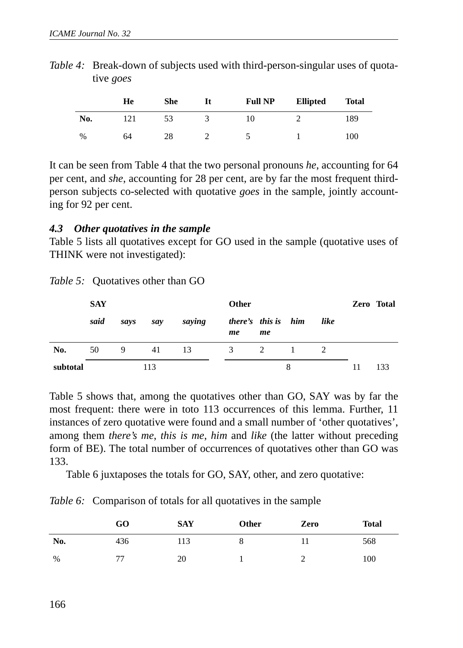|     | He | <b>She</b> | It | <b>Full NP</b> | <b>Ellipted</b> | <b>Total</b> |
|-----|----|------------|----|----------------|-----------------|--------------|
| No. |    | 53         |    | 10             |                 | 189          |
| %   | 64 | 28         |    |                |                 | 100          |

*Table 4:* Break-down of subjects used with third-person-singular uses of quotative *goes*

It can be seen from Table 4 that the two personal pronouns *he*, accounting for 64 per cent, and *she*, accounting for 28 per cent, are by far the most frequent thirdperson subjects co-selected with quotative *goes* in the sample, jointly accounting for 92 per cent.

#### *4.3 Other quotatives in the sample*

Table 5 lists all quotatives except for GO used in the sample (quotative uses of THINK were not investigated):

|          | <b>SAY</b> |      |     |        | <b>Other</b> |                           |   |      | Zero Total |
|----------|------------|------|-----|--------|--------------|---------------------------|---|------|------------|
|          | said       | savs | say | saying | me           | there's this is him<br>me |   | like |            |
| No.      | 50         | 9    | 41  | -13    | 3            | 2                         |   |      |            |
| subtotal |            |      | 113 |        |              |                           | 8 |      | 133        |

Table 5 shows that, among the quotatives other than GO, SAY was by far the most frequent: there were in toto 113 occurrences of this lemma. Further, 11 instances of zero quotative were found and a small number of 'other quotatives', among them *there's me*, *this is me*, *him* and *like* (the latter without preceding form of BE). The total number of occurrences of quotatives other than GO was 133.

Table 6 juxtaposes the totals for GO, SAY, other, and zero quotative:

*Table 6:* Comparison of totals for all quotatives in the sample

|      | GO  | <b>SAY</b> | Other | Zero | <b>Total</b> |
|------|-----|------------|-------|------|--------------|
| No.  | 436 | 113        | Õ     |      | 568          |
| $\%$ | 77  | 20         |       | ∸    | 100          |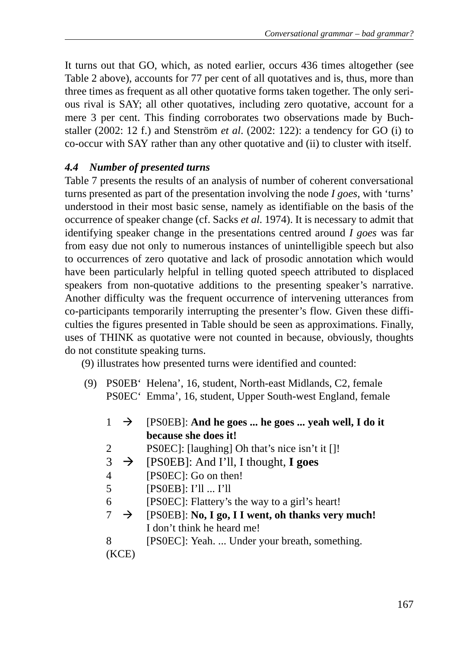It turns out that GO, which, as noted earlier, occurs 436 times altogether (see Table 2 above), accounts for 77 per cent of all quotatives and is, thus, more than three times as frequent as all other quotative forms taken together. The only serious rival is SAY; all other quotatives, including zero quotative, account for a mere 3 per cent. This finding corroborates two observations made by Buchstaller (2002: 12 f.) and Stenström *et al*. (2002: 122): a tendency for GO (i) to co-occur with SAY rather than any other quotative and (ii) to cluster with itself.

## *4.4 Number of presented turns*

Table 7 presents the results of an analysis of number of coherent conversational turns presented as part of the presentation involving the node *I goes*, with 'turns' understood in their most basic sense, namely as identifiable on the basis of the occurrence of speaker change (cf. Sacks *et al*. 1974). It is necessary to admit that identifying speaker change in the presentations centred around *I goes* was far from easy due not only to numerous instances of unintelligible speech but also to occurrences of zero quotative and lack of prosodic annotation which would have been particularly helpful in telling quoted speech attributed to displaced speakers from non-quotative additions to the presenting speaker's narrative. Another difficulty was the frequent occurrence of intervening utterances from co-participants temporarily interrupting the presenter's flow. Given these difficulties the figures presented in Table should be seen as approximations. Finally, uses of THINK as quotative were not counted in because, obviously, thoughts do not constitute speaking turns.

(9) illustrates how presented turns were identified and counted:

 (9) PS0EB' Helena', 16, student, North-east Midlands, C2, female PS0EC' Emma', 16, student, Upper South-west England, female

|     | $\rightarrow$ | [PSOEB]: And he goes  he goes  yeah well, I do it |
|-----|---------------|---------------------------------------------------|
|     |               | because she does it!                              |
| 2   |               | PS0EC: [laughing] Oh that's nice isn't it []!     |
| 3   | $\rightarrow$ | [PS0EB]: And I'll, I thought, I goes              |
| 4   |               | [PS0EC]: Go on then!                              |
| 5   |               | [PSOEB]: I'11 I'11                                |
| 6   |               | [PS0EC]: Flattery's the way to a girl's heart!    |
| 7   | $\rightarrow$ | [PSOEB]: No, I go, I I went, oh thanks very much! |
|     |               | I don't think he heard me!                        |
| 8   |               | [PSOEC]: Yeah.  Under your breath, something.     |
| (KC |               |                                                   |
|     |               |                                                   |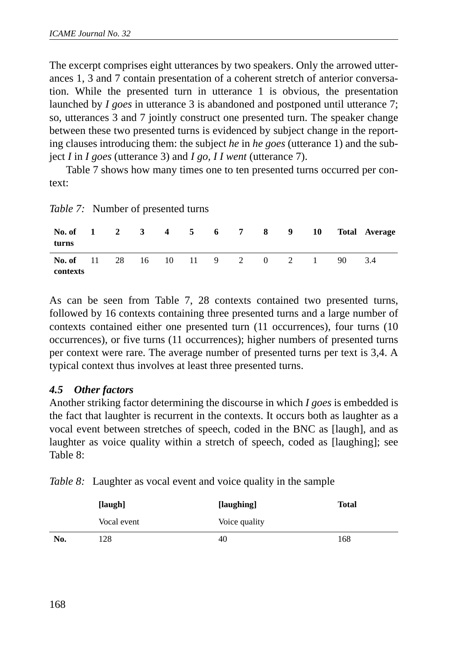The excerpt comprises eight utterances by two speakers. Only the arrowed utterances 1, 3 and 7 contain presentation of a coherent stretch of anterior conversation. While the presented turn in utterance 1 is obvious, the presentation launched by *I goes* in utterance 3 is abandoned and postponed until utterance 7; so, utterances 3 and 7 jointly construct one presented turn. The speaker change between these two presented turns is evidenced by subject change in the reporting clauses introducing them: the subject *he* in *he goes* (utterance 1) and the subject *I* in *I goes* (utterance 3) and *I go, I I went* (utterance 7).

Table 7 shows how many times one to ten presented turns occurred per context:

| No. of 1 2 3 4 5 6 7 8 9 10<br>turns      |  |  |  |  |   |     | <b>Total Average</b> |
|-------------------------------------------|--|--|--|--|---|-----|----------------------|
| No. of 11 28 16 10 11 9 2 0 2<br>contexts |  |  |  |  | 1 | 90. | 3.4                  |

As can be seen from Table 7, 28 contexts contained two presented turns, followed by 16 contexts containing three presented turns and a large number of contexts contained either one presented turn (11 occurrences), four turns (10 occurrences), or five turns (11 occurrences); higher numbers of presented turns per context were rare. The average number of presented turns per text is 3,4. A typical context thus involves at least three presented turns.

### *4.5 Other factors*

Another striking factor determining the discourse in which *I goes* is embedded is the fact that laughter is recurrent in the contexts. It occurs both as laughter as a vocal event between stretches of speech, coded in the BNC as [laugh], and as laughter as voice quality within a stretch of speech, coded as [laughing]; see Table 8:

|  | Table 8: Laughter as vocal event and voice quality in the sample |  |
|--|------------------------------------------------------------------|--|
|  |                                                                  |  |

|     | [laugh]     | [laughing]    | <b>Total</b> |
|-----|-------------|---------------|--------------|
|     | Vocal event | Voice quality |              |
| No. | 128         | 40            | 168          |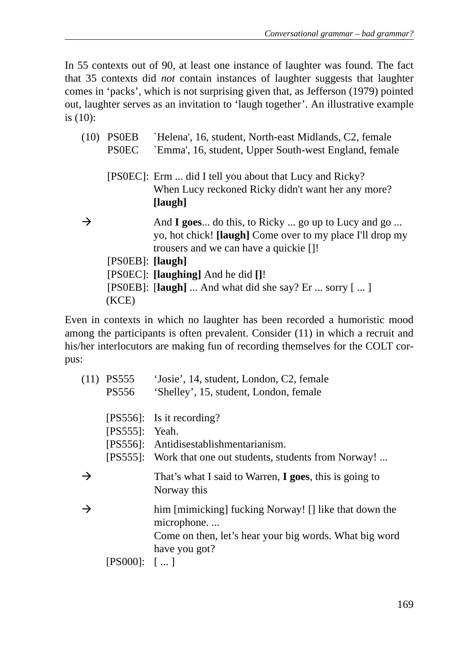In 55 contexts out of 90, at least one instance of laughter was found. The fact that 35 contexts did *not* contain instances of laughter suggests that laughter comes in 'packs', which is not surprising given that, as Jefferson (1979) pointed out, laughter serves as an invitation to 'laugh together'. An illustrative example is (10):

| (10)          | <b>PSOEB</b><br><b>PSOEC</b> | 'Helena', 16, student, North-east Midlands, C2, female<br>'Emma', 16, student, Upper South-west England, female                                            |
|---------------|------------------------------|------------------------------------------------------------------------------------------------------------------------------------------------------------|
|               |                              | [PSOEC]: Erm  did I tell you about that Lucy and Ricky?<br>When Lucy reckoned Ricky didn't want her any more?<br>[laugh]                                   |
| $\rightarrow$ |                              | And I goes do this, to Ricky  go up to Lucy and go<br>yo, hot chick! [laugh] Come over to my place I'll drop my<br>trousers and we can have a quickie [1!] |
|               | $[PSOEB]$ : $[laugh]$        |                                                                                                                                                            |
|               |                              | [PS0EC]: <b>[laughing]</b> And he did <b>[]</b> !                                                                                                          |
|               |                              | [PS0EB]: $\lceil \text{laugh} \rceil$ And what did she say? Er  sorry $\lceil  \rceil$                                                                     |
|               | (KCE)                        |                                                                                                                                                            |

Even in contexts in which no laughter has been recorded a humoristic mood among the participants is often prevalent. Consider (11) in which a recruit and his/her interlocutors are making fun of recording themselves for the COLT corpus:

|               | $(11)$ PS555     | 'Josie', 14, student, London, C2, female                                      |
|---------------|------------------|-------------------------------------------------------------------------------|
|               | PS556            | 'Shelley', 15, student, London, female                                        |
|               |                  | $[PS556]$ : Is it recording?                                                  |
|               | $[PS555]:$ Yeah. |                                                                               |
|               |                  | [PS556]: Antidisestablishmentarianism.                                        |
|               |                  | [PS555]: Work that one out students, students from Norway!                    |
| →             |                  | That's what I said to Warren, <b>I goes</b> , this is going to<br>Norway this |
| $\rightarrow$ |                  | him [mimicking] fucking Norway! [] like that down the<br>microphone           |
|               |                  | Come on then, let's hear your big words. What big word                        |
|               |                  | have you got?                                                                 |
|               | $[PS000]:$ $[]$  |                                                                               |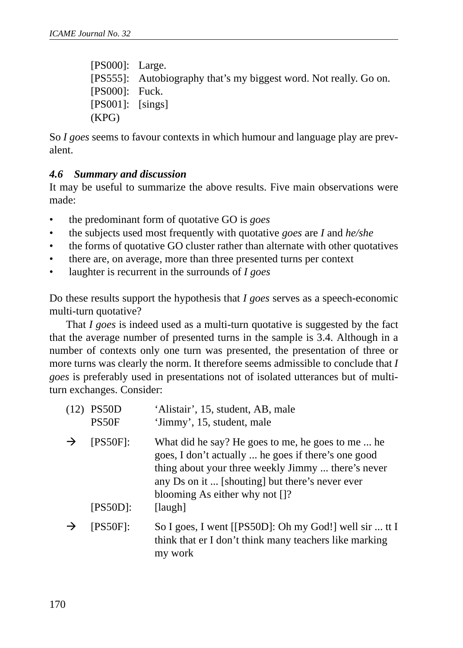[PS000]: Large. [PS555]: Autobiography that's my biggest word. Not really. Go on. [PS000]: Fuck. [PS001]: [sings] (KPG)

So *I goes* seems to favour contexts in which humour and language play are prevalent.

#### *4.6 Summary and discussion*

It may be useful to summarize the above results. Five main observations were made:

- the predominant form of quotative GO is *goes*
- the subjects used most frequently with quotative *goes* are *I* and *he/she*
- the forms of quotative GO cluster rather than alternate with other quotatives
- there are, on average, more than three presented turns per context
- laughter is recurrent in the surrounds of *I goes*

Do these results support the hypothesis that *I goes* serves as a speech-economic multi-turn quotative?

That *I goes* is indeed used as a multi-turn quotative is suggested by the fact that the average number of presented turns in the sample is 3.4. Although in a number of contexts only one turn was presented, the presentation of three or more turns was clearly the norm. It therefore seems admissible to conclude that *I goes* is preferably used in presentations not of isolated utterances but of multiturn exchanges. Consider:

| (12) | PS50D<br>PS50F             | 'Alistair', 15, student, AB, male<br>'Jimmy', 15, student, male                                                                                                                                                                                                            |
|------|----------------------------|----------------------------------------------------------------------------------------------------------------------------------------------------------------------------------------------------------------------------------------------------------------------------|
|      | $[$ PS50F]:<br>$[PS50D]$ : | What did he say? He goes to me, he goes to me  he<br>goes, I don't actually  he goes if there's one good<br>thing about your three weekly Jimmy  there's never<br>any Ds on it  [shouting] but there's never ever<br>blooming As either why not $[$ $]$ ?<br>$[$ laugh $]$ |
|      | [PS50F]:                   | So I goes, I went [[PS50D]: Oh my God!] well sir  tt I<br>think that er I don't think many teachers like marking<br>my work                                                                                                                                                |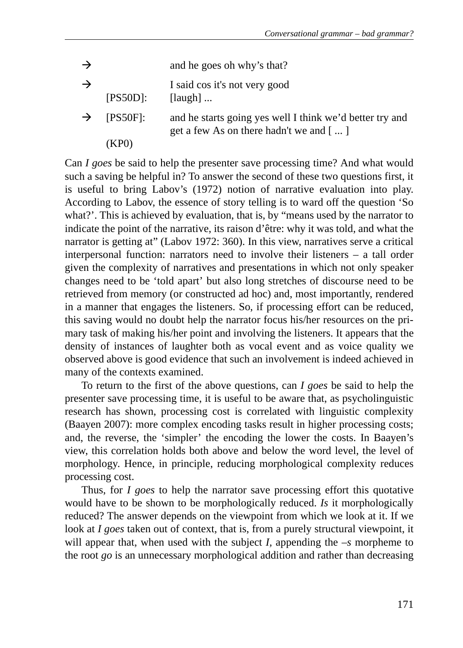| $\rightarrow$ |                      | and he goes oh why's that?                                                                           |
|---------------|----------------------|------------------------------------------------------------------------------------------------------|
| $\rightarrow$ | [PS50D]:             | I said cos it's not very good<br>$[$ laugh $] \dots$                                                 |
| $\rightarrow$ | $[$ PS50F]:<br>(KPO) | and he starts going yes well I think we'd better try and<br>get a few As on there hadn't we and $[]$ |

Can *I goes* be said to help the presenter save processing time? And what would such a saving be helpful in? To answer the second of these two questions first, it is useful to bring Labov's (1972) notion of narrative evaluation into play. According to Labov, the essence of story telling is to ward off the question 'So what?'. This is achieved by evaluation, that is, by "means used by the narrator to indicate the point of the narrative, its raison d'être: why it was told, and what the narrator is getting at" (Labov 1972: 360). In this view, narratives serve a critical interpersonal function: narrators need to involve their listeners – a tall order given the complexity of narratives and presentations in which not only speaker changes need to be 'told apart' but also long stretches of discourse need to be retrieved from memory (or constructed ad hoc) and, most importantly, rendered in a manner that engages the listeners. So, if processing effort can be reduced, this saving would no doubt help the narrator focus his/her resources on the primary task of making his/her point and involving the listeners. It appears that the density of instances of laughter both as vocal event and as voice quality we observed above is good evidence that such an involvement is indeed achieved in many of the contexts examined.

To return to the first of the above questions, can *I goes* be said to help the presenter save processing time, it is useful to be aware that, as psycholinguistic research has shown, processing cost is correlated with linguistic complexity (Baayen 2007): more complex encoding tasks result in higher processing costs; and, the reverse, the 'simpler' the encoding the lower the costs. In Baayen's view, this correlation holds both above and below the word level, the level of morphology. Hence, in principle, reducing morphological complexity reduces processing cost.

Thus, for *I goes* to help the narrator save processing effort this quotative would have to be shown to be morphologically reduced. *Is* it morphologically reduced? The answer depends on the viewpoint from which we look at it. If we look at *I goes* taken out of context, that is, from a purely structural viewpoint, it will appear that, when used with the subject *I,* appending the –*s* morpheme to the root *go* is an unnecessary morphological addition and rather than decreasing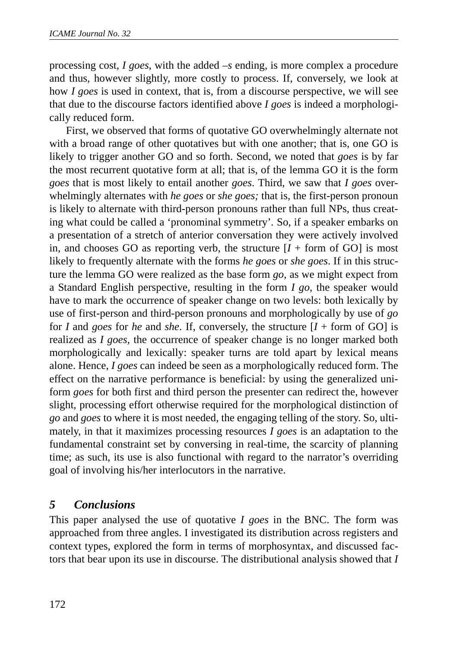processing cost, *I goes*, with the added *–s* ending, is more complex a procedure and thus, however slightly, more costly to process. If, conversely, we look at how *I goes* is used in context, that is, from a discourse perspective, we will see that due to the discourse factors identified above *I goes* is indeed a morphologically reduced form.

First, we observed that forms of quotative GO overwhelmingly alternate not with a broad range of other quotatives but with one another; that is, one GO is likely to trigger another GO and so forth. Second, we noted that *goes* is by far the most recurrent quotative form at all; that is, of the lemma GO it is the form *goes* that is most likely to entail another *goes*. Third, we saw that *I goes* overwhelmingly alternates with *he goes* or *she goes;* that is, the first-person pronoun is likely to alternate with third-person pronouns rather than full NPs, thus creating what could be called a 'pronominal symmetry'*.* So, if a speaker embarks on a presentation of a stretch of anterior conversation they were actively involved in, and chooses GO as reporting verb, the structure  $[I + form of GO]$  is most likely to frequently alternate with the forms *he goes* or *she goes*. If in this structure the lemma GO were realized as the base form *go*, as we might expect from a Standard English perspective, resulting in the form *I go*, the speaker would have to mark the occurrence of speaker change on two levels: both lexically by use of first-person and third-person pronouns and morphologically by use of *go* for *I* and *goes* for *he* and *she*. If, conversely, the structure [*I* + form of GO] is realized as *I goes,* the occurrence of speaker change is no longer marked both morphologically and lexically: speaker turns are told apart by lexical means alone. Hence, *I goes* can indeed be seen as a morphologically reduced form. The effect on the narrative performance is beneficial: by using the generalized uniform *goes* for both first and third person the presenter can redirect the, however slight, processing effort otherwise required for the morphological distinction of *go* and *goes* to where it is most needed, the engaging telling of the story. So, ultimately, in that it maximizes processing resources *I goes* is an adaptation to the fundamental constraint set by conversing in real-time, the scarcity of planning time; as such, its use is also functional with regard to the narrator's overriding goal of involving his/her interlocutors in the narrative.

## *5 Conclusions*

This paper analysed the use of quotative *I goes* in the BNC. The form was approached from three angles. I investigated its distribution across registers and context types, explored the form in terms of morphosyntax, and discussed factors that bear upon its use in discourse. The distributional analysis showed that *I*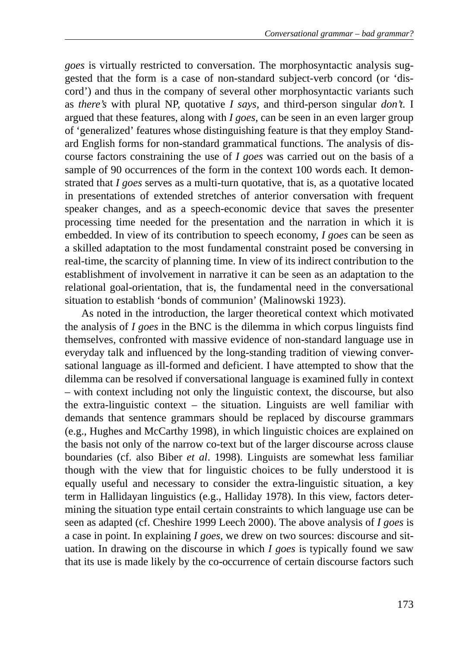*goes* is virtually restricted to conversation. The morphosyntactic analysis suggested that the form is a case of non-standard subject-verb concord (or 'discord') and thus in the company of several other morphosyntactic variants such as *there's* with plural NP, quotative *I says*, and third-person singular *don't.* I argued that these features, along with *I goes*, can be seen in an even larger group of 'generalized' features whose distinguishing feature is that they employ Standard English forms for non-standard grammatical functions. The analysis of discourse factors constraining the use of *I goes* was carried out on the basis of a sample of 90 occurrences of the form in the context 100 words each. It demonstrated that *I goes* serves as a multi-turn quotative, that is, as a quotative located in presentations of extended stretches of anterior conversation with frequent speaker changes, and as a speech-economic device that saves the presenter processing time needed for the presentation and the narration in which it is embedded. In view of its contribution to speech economy, *I goes* can be seen as a skilled adaptation to the most fundamental constraint posed be conversing in real-time, the scarcity of planning time. In view of its indirect contribution to the establishment of involvement in narrative it can be seen as an adaptation to the relational goal-orientation, that is, the fundamental need in the conversational situation to establish 'bonds of communion' (Malinowski 1923).

As noted in the introduction, the larger theoretical context which motivated the analysis of *I goes* in the BNC is the dilemma in which corpus linguists find themselves, confronted with massive evidence of non-standard language use in everyday talk and influenced by the long-standing tradition of viewing conversational language as ill-formed and deficient. I have attempted to show that the dilemma can be resolved if conversational language is examined fully in context – with context including not only the linguistic context, the discourse, but also the extra-linguistic context – the situation. Linguists are well familiar with demands that sentence grammars should be replaced by discourse grammars (e.g., Hughes and McCarthy 1998), in which linguistic choices are explained on the basis not only of the narrow co-text but of the larger discourse across clause boundaries (cf. also Biber *et al*. 1998). Linguists are somewhat less familiar though with the view that for linguistic choices to be fully understood it is equally useful and necessary to consider the extra-linguistic situation, a key term in Hallidayan linguistics (e.g., Halliday 1978). In this view, factors determining the situation type entail certain constraints to which language use can be seen as adapted (cf. Cheshire 1999 Leech 2000). The above analysis of *I goes* is a case in point. In explaining *I goes*, we drew on two sources: discourse and situation. In drawing on the discourse in which *I goes* is typically found we saw that its use is made likely by the co-occurrence of certain discourse factors such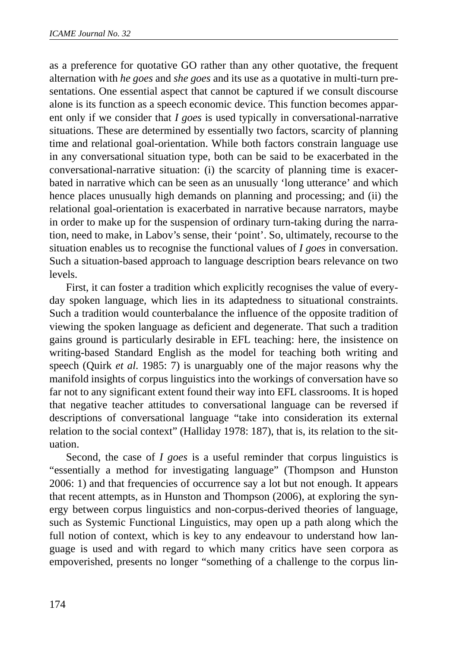as a preference for quotative GO rather than any other quotative, the frequent alternation with *he goes* and *she goes* and its use as a quotative in multi-turn presentations. One essential aspect that cannot be captured if we consult discourse alone is its function as a speech economic device. This function becomes apparent only if we consider that *I goes* is used typically in conversational-narrative situations. These are determined by essentially two factors, scarcity of planning time and relational goal-orientation. While both factors constrain language use in any conversational situation type, both can be said to be exacerbated in the conversational-narrative situation: (i) the scarcity of planning time is exacerbated in narrative which can be seen as an unusually 'long utterance' and which hence places unusually high demands on planning and processing; and (ii) the relational goal-orientation is exacerbated in narrative because narrators, maybe in order to make up for the suspension of ordinary turn-taking during the narration, need to make, in Labov's sense, their 'point'. So, ultimately, recourse to the situation enables us to recognise the functional values of *I goes* in conversation. Such a situation-based approach to language description bears relevance on two levels.

First, it can foster a tradition which explicitly recognises the value of everyday spoken language, which lies in its adaptedness to situational constraints. Such a tradition would counterbalance the influence of the opposite tradition of viewing the spoken language as deficient and degenerate. That such a tradition gains ground is particularly desirable in EFL teaching: here, the insistence on writing-based Standard English as the model for teaching both writing and speech (Quirk *et al*. 1985: 7) is unarguably one of the major reasons why the manifold insights of corpus linguistics into the workings of conversation have so far not to any significant extent found their way into EFL classrooms. It is hoped that negative teacher attitudes to conversational language can be reversed if descriptions of conversational language "take into consideration its external relation to the social context" (Halliday 1978: 187), that is, its relation to the situation.

Second, the case of *I goes* is a useful reminder that corpus linguistics is "essentially a method for investigating language" (Thompson and Hunston 2006: 1) and that frequencies of occurrence say a lot but not enough. It appears that recent attempts, as in Hunston and Thompson (2006), at exploring the synergy between corpus linguistics and non-corpus-derived theories of language, such as Systemic Functional Linguistics, may open up a path along which the full notion of context, which is key to any endeavour to understand how language is used and with regard to which many critics have seen corpora as empoverished, presents no longer "something of a challenge to the corpus lin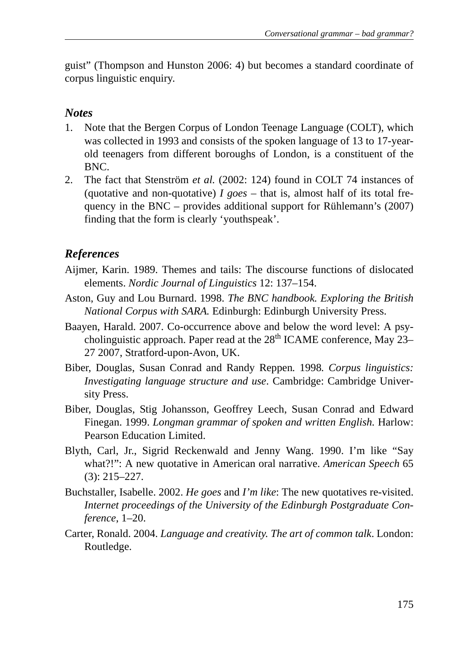guist" (Thompson and Hunston 2006: 4) but becomes a standard coordinate of corpus linguistic enquiry.

### *Notes*

- 1. Note that the Bergen Corpus of London Teenage Language (COLT), which was collected in 1993 and consists of the spoken language of 13 to 17-yearold teenagers from different boroughs of London, is a constituent of the BNC.
- 2. The fact that Stenström *et al.* (2002: 124) found in COLT 74 instances of (quotative and non-quotative)  $I$  goes – that is, almost half of its total frequency in the BNC – provides additional support for Rühlemann's (2007) finding that the form is clearly 'youthspeak'.

# *References*

- Aijmer, Karin. 1989. Themes and tails: The discourse functions of dislocated elements. *Nordic Journal of Linguistics* 12: 137–154.
- Aston, Guy and Lou Burnard. 1998. *The BNC handbook. Exploring the British National Corpus with SARA.* Edinburgh: Edinburgh University Press.
- Baayen, Harald. 2007. Co-occurrence above and below the word level: A psycholinguistic approach. Paper read at the  $28<sup>th</sup>$  ICAME conference, May 23– 27 2007, Stratford-upon-Avon, UK.
- Biber, Douglas, Susan Conrad and Randy Reppen*.* 1998*. Corpus linguistics: Investigating language structure and use*. Cambridge: Cambridge University Press.
- Biber, Douglas, Stig Johansson, Geoffrey Leech, Susan Conrad and Edward Finegan. 1999. *Longman grammar of spoken and written English.* Harlow: Pearson Education Limited.
- Blyth, Carl, Jr., Sigrid Reckenwald and Jenny Wang. 1990. I'm like "Say what?!": A new quotative in American oral narrative. *American Speech* 65 (3): 215–227.
- Buchstaller, Isabelle. 2002. *He goes* and *I'm like*: The new quotatives re-visited. *Internet proceedings of the University of the Edinburgh Postgraduate Conference*, 1–20.
- Carter, Ronald. 2004. *Language and creativity. The art of common talk*. London: Routledge.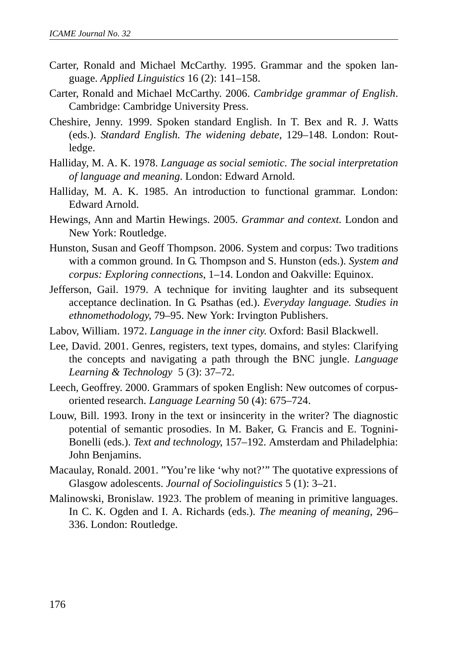- Carter, Ronald and Michael McCarthy. 1995. Grammar and the spoken language. *Applied Linguistics* 16 (2): 141–158.
- Carter, Ronald and Michael McCarthy. 2006. *Cambridge grammar of English*. Cambridge: Cambridge University Press.
- Cheshire, Jenny. 1999. Spoken standard English. In T. Bex and R. J. Watts (eds.). *Standard English. The widening debate*, 129–148. London: Routledge.
- Halliday, M. A. K. 1978. *Language as social semiotic. The social interpretation of language and meaning*. London: Edward Arnold.
- Halliday, M. A. K. 1985. An introduction to functional grammar. London: Edward Arnold.
- Hewings, Ann and Martin Hewings. 2005. *Grammar and context.* London and New York: Routledge.
- Hunston, Susan and Geoff Thompson. 2006. System and corpus: Two traditions with a common ground. In G. Thompson and S. Hunston (eds.). *System and corpus: Exploring connections*, 1–14. London and Oakville: Equinox.
- Jefferson, Gail. 1979. A technique for inviting laughter and its subsequent acceptance declination. In G. Psathas (ed.). *Everyday language. Studies in ethnomethodology*, 79–95. New York: Irvington Publishers.
- Labov, William. 1972. *Language in the inner city*. Oxford: Basil Blackwell.
- Lee, David. 2001. Genres, registers, text types, domains, and styles: Clarifying the concepts and navigating a path through the BNC jungle. *Language Learning & Technology* 5 (3): 37–72.
- Leech, Geoffrey. 2000. Grammars of spoken English: New outcomes of corpusoriented research. *Language Learning* 50 (4): 675–724.
- Louw, Bill. 1993. Irony in the text or insincerity in the writer? The diagnostic potential of semantic prosodies. In M. Baker, G. Francis and E. Tognini-Bonelli (eds.). *Text and technology*, 157–192. Amsterdam and Philadelphia: John Benjamins.
- Macaulay, Ronald. 2001. "You're like 'why not?'" The quotative expressions of Glasgow adolescents. *Journal of Sociolinguistics* 5 (1): 3–21.
- Malinowski, Bronislaw. 1923. The problem of meaning in primitive languages. In C. K. Ogden and I. A. Richards (eds.). *The meaning of meaning*, 296– 336. London: Routledge.